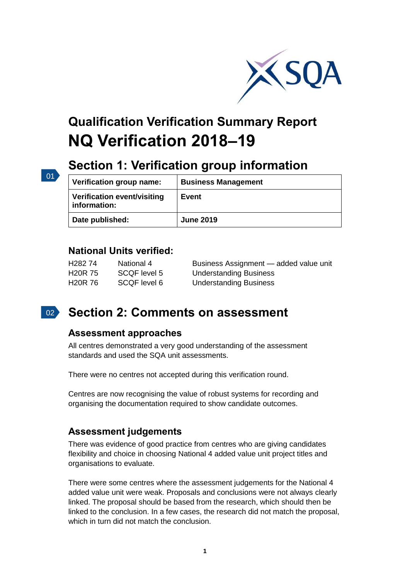

# **Qualification Verification Summary Report NQ Verification 2018–19**

## **Section 1: Verification group information**

| Verification group name:                           | <b>Business Management</b> |
|----------------------------------------------------|----------------------------|
| <b>Verification event/visiting</b><br>information: | Event                      |
| Date published:                                    | <b>June 2019</b>           |

### **National Units verified:**

01

| H282 74 | National 4   | Business Assignment - added value unit |
|---------|--------------|----------------------------------------|
| H20R 75 | SCQF level 5 | <b>Understanding Business</b>          |
| H20R 76 | SCQF level 6 | <b>Understanding Business</b>          |

#### $\vert$  02  $\rangle$ **Section 2: Comments on assessment**

### **Assessment approaches**

All centres demonstrated a very good understanding of the assessment standards and used the SQA unit assessments.

There were no centres not accepted during this verification round.

Centres are now recognising the value of robust systems for recording and organising the documentation required to show candidate outcomes.

## **Assessment judgements**

There was evidence of good practice from centres who are giving candidates flexibility and choice in choosing National 4 added value unit project titles and organisations to evaluate.

There were some centres where the assessment judgements for the National 4 added value unit were weak. Proposals and conclusions were not always clearly linked. The proposal should be based from the research, which should then be linked to the conclusion. In a few cases, the research did not match the proposal, which in turn did not match the conclusion.